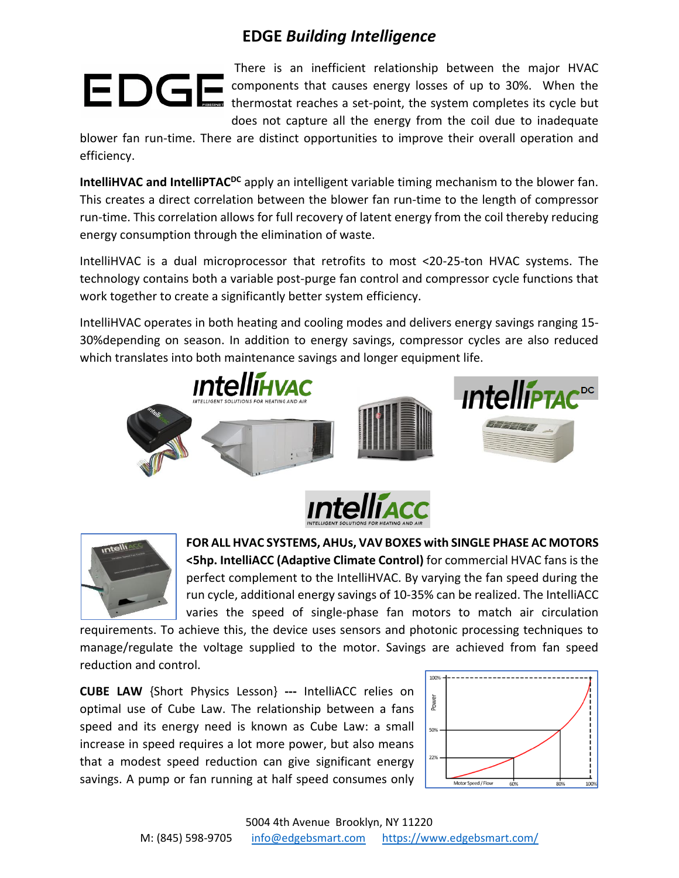## **EDGE** *Building Intelligence*

There is an inefficient relationship between the major HVAC components that causes energy losses of up to 30%. When the thermostat reaches a set-point, the system completes its cycle but does not capture all the energy from the coil due to inadequate

blower fan run-time. There are distinct opportunities to improve their overall operation and efficiency.

**IntelliHVAC and IntelliPTAC<sup>DC</sup>** apply an intelligent variable timing mechanism to the blower fan. This creates a direct correlation between the blower fan run-time to the length of compressor run-time. This correlation allows for full recovery of latent energy from the coil thereby reducing energy consumption through the elimination of waste.

IntelliHVAC is a dual microprocessor that retrofits to most <20-25-ton HVAC systems. The technology contains both a variable post-purge fan control and compressor cycle functions that work together to create a significantly better system efficiency.

IntelliHVAC operates in both heating and cooling modes and delivers energy savings ranging 15- 30%depending on season. In addition to energy savings, compressor cycles are also reduced which translates into both maintenance savings and longer equipment life.







**FOR ALL HVAC SYSTEMS, AHUs, VAV BOXES with SINGLE PHASE AC MOTORS <5hp. IntelliACC (Adaptive Climate Control)** for commercial HVAC fans is the perfect complement to the IntelliHVAC. By varying the fan speed during the run cycle, additional energy savings of 10-35% can be realized. The IntelliACC varies the speed of single-phase fan motors to match air circulation

requirements. To achieve this, the device uses sensors and photonic processing techniques to manage/regulate the voltage supplied to the motor. Savings are achieved from fan speed reduction and control.

**CUBE LAW** {Short Physics Lesson} **---** IntelliACC relies on optimal use of Cube Law. The relationship between a fans speed and its energy need is known as Cube Law: a small increase in speed requires a lot more power, but also means that a modest speed reduction can give significant energy savings. A pump or fan running at half speed consumes only

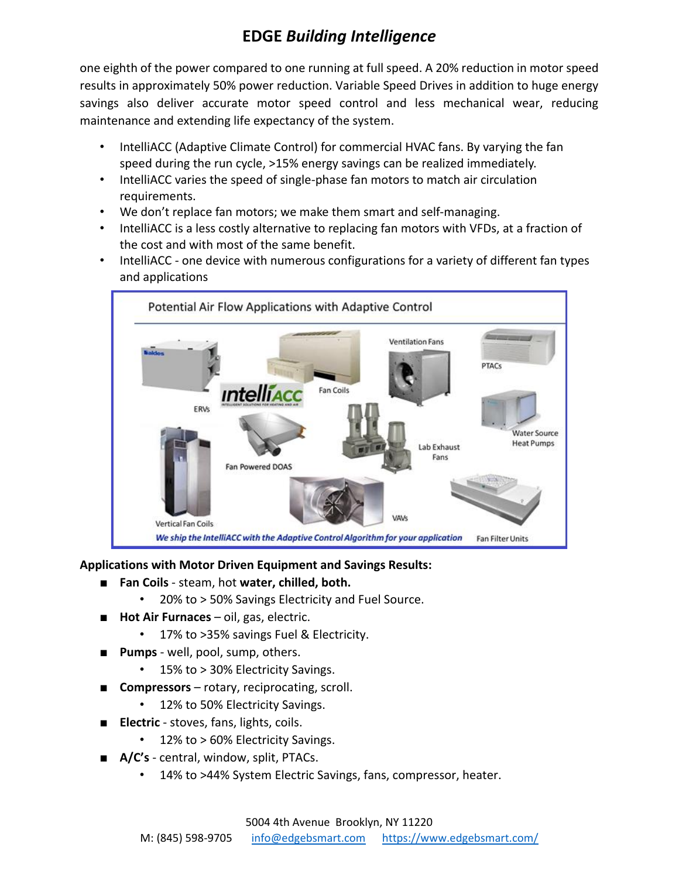# **EDGE** *Building Intelligence*

one eighth of the power compared to one running at full speed. A 20% reduction in motor speed results in approximately 50% power reduction. Variable Speed Drives in addition to huge energy savings also deliver accurate motor speed control and less mechanical wear, reducing maintenance and extending life expectancy of the system.

- IntelliACC (Adaptive Climate Control) for commercial HVAC fans. By varying the fan speed during the run cycle, >15% energy savings can be realized immediately.
- IntelliACC varies the speed of single-phase fan motors to match air circulation requirements.
- We don't replace fan motors; we make them smart and self-managing.
- IntelliACC is a less costly alternative to replacing fan motors with VFDs, at a fraction of the cost and with most of the same benefit.
- IntelliACC one device with numerous configurations for a variety of different fan types and applications



### **Applications with Motor Driven Equipment and Savings Results:**

- **Fan Coils** steam, hot **water, chilled, both.** 
	- 20% to > 50% Savings Electricity and Fuel Source.
- **Hot Air Furnaces** oil, gas, electric.
	- 17% to >35% savings Fuel & Electricity.
- Pumps well, pool, sump, others.
	- 15% to > 30% Electricity Savings.
- **Compressors** rotary, reciprocating, scroll.
	- 12% to 50% Electricity Savings.
- **Electric** stoves, fans, lights, coils.
	- 12% to > 60% Electricity Savings.
- **A/C's** central, window, split, PTACs.
	- 14% to >44% System Electric Savings, fans, compressor, heater.